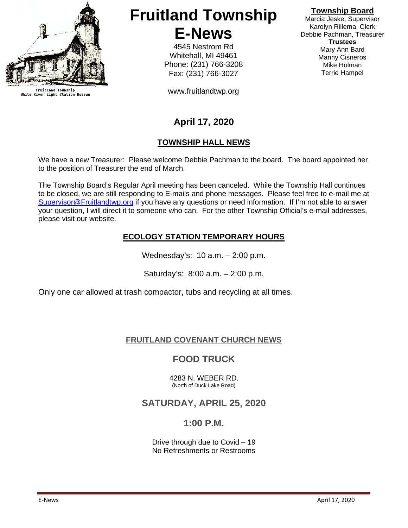

Fruitland Township<br>White River Light Station Museum

# **Fruitland Township E-News**

4545 Nestrom Rd Whitehall, MI 49461 Phone: (231) 766-3208 Fax: (231) 766-3027

www.fruitlandtwp.org

#### **Township Board**

Marcia Jeske, Supervisor Karolyn Rillema, Clerk Debbie Pachman, Treasurer **Trustees** Mary Ann Bard Manny Cisneros Mike Holman Terrie Hampel

## **April 17, 2020**

#### **TOWNSHIP HALL NEWS**

We have a new Treasurer: Please welcome Debbie Pachman to the board. The board appointed her to the position of Treasurer the end of March.

The Township Board's Regular April meeting has been canceled. While the Township Hall continues to be closed, we are still responding to E-mails and phone messages. Please feel free to e-mail me at [Supervisor@Fruitlandtwp.org](mailto:Supervisor@Fruitlandtwp.org) if you have any questions or need information. If I'm not able to answer your question, I will direct it to someone who can. For the other Township Official's e-mail addresses, please visit our website.

#### **ECOLOGY STATION TEMPORARY HOURS**

Wednesday's: 10 a.m. – 2:00 p.m.

Saturday's: 8:00 a.m. – 2:00 p.m.

Only one car allowed at trash compactor, tubs and recycling at all times.

#### **FRUITLAND COVENANT CHURCH NEWS**

### **FOOD TRUCK**

4283 N. WEBER RD. (North of Duck Lake Road)

#### **SATURDAY, APRIL 25, 2020**

#### **1:00 P.M.**

Drive through due to Covid – 19 No Refreshments or Restrooms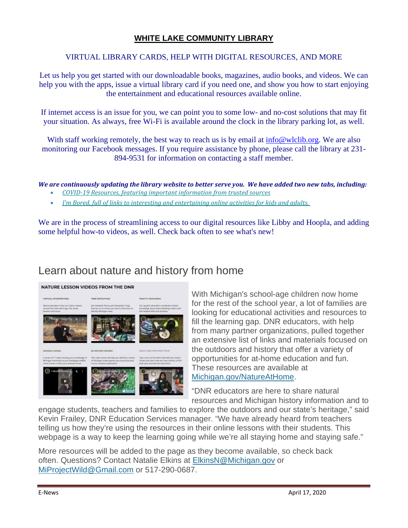#### **WHITE LAKE COMMUNITY LIBRARY**

#### VIRTUAL LIBRARY CARDS, HELP WITH DIGITAL RESOURCES, AND MORE

Let us help you get started with our downloadable books, magazines, audio books, and videos. We can help you with the apps, issue a virtual library card if you need one, and show you how to start enjoying the entertainment and educational resources available online.

If internet access is an issue for you, we can point you to some low- and no-cost solutions that may fit your situation. As always, free Wi-Fi is available around the clock in the library parking lot, as well.

With staff working remotely, the best way to reach us is by email at [info@wlclib.org.](mailto:info@wlclib.org) We are also monitoring our Facebook messages. If you require assistance by phone, please call the library at 231- 894-9531 for information on contacting a staff member.

*We are continuously updating the library website to better serve you. We have added two new tabs, including:*

- *[COVID-19 Resources, featuring important information from trusted sources](https://linkprotect.cudasvc.com/url?a=https%3a%2f%2fmichlibrary.us13.list-manage.com%2ftrack%2fclick%3fu%3daeced09c59ffa6ccca0fa05c7%26id%3d14bd53e751%26e%3d71fd48cf99&c=E,1,eDMs06lSha9fg0gdOofTSMMsETiA93MHZwiqGeaK1FoZlam4r0uLfr7Fv5N4sSy34V_xqjuoNrUsRfHKx7Z9gOtsHsg1w_-zpuJ4a1sGz3bb1yoU_XQ,&typo=1)*
- *I'm Bored, full [of links to interesting and entertaining online activities for kids and adults.](https://linkprotect.cudasvc.com/url?a=https%3a%2f%2fmichlibrary.us13.list-manage.com%2ftrack%2fclick%3fu%3daeced09c59ffa6ccca0fa05c7%26id%3dca8c2b4bb2%26e%3d71fd48cf99&c=E,1,s4SmHOQwBRSUtSsmFzRuxrctVF1pX6nIllrTtdG1h4q0wcP-q4kiNzxVDE_vXPhLLXQDps0GaxG8b-OuwyuHf5RA7PFLQrY3-sdNyYK5-db6_Q,,&typo=1)*

We are in the process of streamlining access to our digital resources like Libby and Hoopla, and adding some helpful how-to videos, as well. Check back often to see what's new!

## Learn about nature and history from home

#### NATURE LESSON VIDEOS FROM THE DNR



With Michigan's school-age children now home for the rest of the school year, a lot of families are looking for educational activities and resources to fill the learning gap. DNR educators, with help from many partner organizations, pulled together an extensive list of links and materials focused on the outdoors and history that offer a variety of opportunities for at-home education and fun. These resources are available at [Michigan.gov/NatureAtHome.](https://lnks.gd/l/eyJhbGciOiJIUzI1NiJ9.eyJidWxsZXRpbl9saW5rX2lkIjoxMTUsInVyaSI6ImJwMjpjbGljayIsImJ1bGxldGluX2lkIjoiMjAyMDA0MDcuMTk4NzMwMjEiLCJ1cmwiOiJodHRwczovL3d3dy5taWNoaWdhbi5nb3YvZG5yLzAsNDU3MCw3LTM1MC03OTEzNV85ODQ4MC0tLSwwMC5odG1sP3V0bV9jYW1wYWlnbj1uZXdzK2RpZ2VzdCthcHJpbDIwMjArd2VlazEmdXRtX21lZGl1bT1kaWdlc3QmdXRtX3NvdXJjZT1nb3ZkZWxpdmVyeSJ9.YIgJsWPpUJ-kPo8jSzFxkVKGnQZFMQKufbeXUwfCyu0/br/77134110584-l)

"DNR educators are here to share natural resources and Michigan history information and to

engage students, teachers and families to explore the outdoors and our state's heritage," said Kevin Frailey, DNR Education Services manager. "We have already heard from teachers telling us how they're using the resources in their online lessons with their students. This webpage is a way to keep the learning going while we're all staying home and staying safe."

More resources will be added to the page as they become available, so check back often. Questions? Contact Natalie Elkins at [ElkinsN@Michigan.gov](mailto:ElkinsN@Michigan.gov) or [MiProjectWild@Gmail.com](mailto:MiProjectWild@Gmail.com) or 517-290-0687.